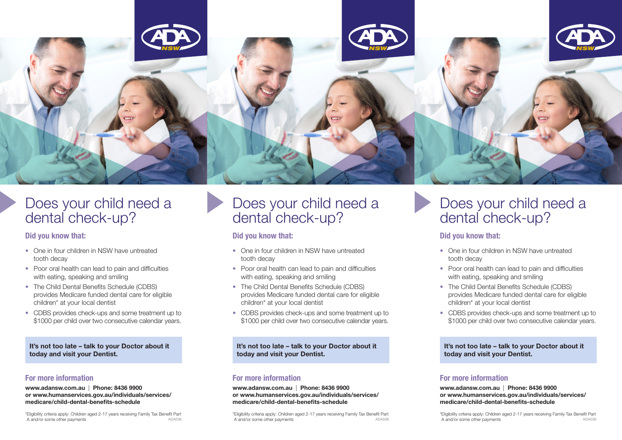

# Does your child need a dental check-up?

# Did you know that:

- One in four children in NSW have untreated tooth decay
- Poor oral health can lead to pain and difficulties with eating, speaking and smiling
- The Child Dental Benefits Schedule (CDBS) provides Medicare funded dental care for eligible children\* at your local dentist
- CDBS provides check-ups and some treatment up to \$1000 per child over two consecutive calendar years.

It's not too late – talk to your Doctor about it today and visit your Dentist.

# For more information

www.adansw.com.au | Phone: 8436 9900 or www.humanservices.gov.au/individuals/services/ medicare/child-dental-benefits-schedule

\*Eligibility criteria apply: Children aged 2-17 years receiving Family Tax Benefit Part A and/or some other payments

# Does your child need a dental check-up?

# Did you know that:

- One in four children in NSW have untreated tooth decay
- Poor oral health can lead to pain and difficulties with eating, speaking and smiling
- The Child Dental Benefits Schedule (CDBS) provides Medicare funded dental care for eligible children\* at your local dentist
- CDBS provides check-ups and some treatment up to \$1000 per child over two consecutive calendar years.

It's not too late – talk to your Doctor about it today and visit your Dentist.

# For more information

www.adansw.com.au | Phone: 8436 9900 or www.humanservices.gov.au/individuals/services/ medicare/child-dental-benefits-schedule

\*Eligibility criteria apply: Children aged 2-17 years receiving Family Tax Benefit Part ADA036 **A and/or some other payments** ADA036 ADA036 ADA036 **ADA036** ADA036 ADA036 ADA036 ADA036 ADA036 ADA036 ADA036 ADA036 ADA036 ADA036 ADA036 ADA036 ADA036 ADA036 ADA036 ADA036 ADA036 ADA036 ADA036 ADA036 ADA036 ADA036

# Does your child need a dental check-up?

# Did you know that:

- One in four children in NSW have untreated tooth decay
- Poor oral health can lead to pain and difficulties with eating, speaking and smiling
- The Child Dental Benefits Schedule (CDBS) provides Medicare funded dental care for eligible children\* at your local dentist
- CDBS provides check-ups and some treatment up to \$1000 per child over two consecutive calendar years.

It's not too late – talk to your Doctor about it today and visit your Dentist.

# For more information

www.adansw.com.au | Phone: 8436 9900 or www.humanservices.gov.au/individuals/services/ medicare/child-dental-benefits-schedule

\*Eligibility criteria apply: Children aged 2-17 years receiving Family Tax Benefit Part A and/or some other payments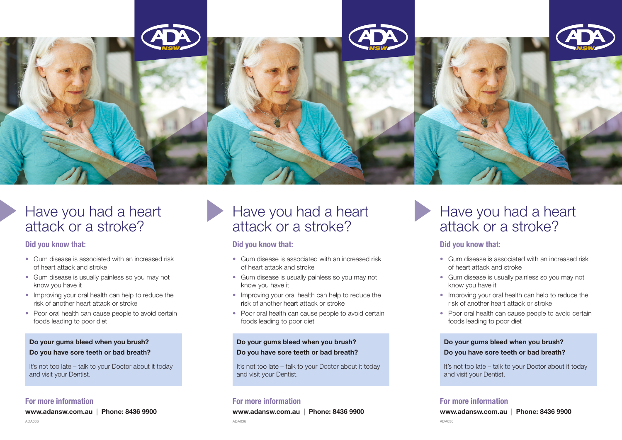

# Have you had a heart attack or a stroke?

### Did you know that:

- Gum disease is associated with an increased risk of heart attack and stroke
- Gum disease is usually painless so you may not know you have it
- Improving your oral health can help to reduce the risk of another heart attack or stroke
- Poor oral health can cause people to avoid certain foods leading to poor diet

### Do your gums bleed when you brush? Do you have sore teeth or bad breath?

It's not too late – talk to your Doctor about it today and visit your Dentist.

### For more information

www.adansw.com.au | Phone: 8436 9900

# Have you had a heart attack or a stroke?

# Did you know that:

- Gum disease is associated with an increased risk of heart attack and stroke
- Gum disease is usually painless so you may not know you have it
- Improving your oral health can help to reduce the risk of another heart attack or stroke
- Poor oral health can cause people to avoid certain foods leading to poor diet

# Do your gums bleed when you brush? Do you have sore teeth or bad breath?

It's not too late – talk to your Doctor about it today and visit your Dentist.

# For more information

www.adansw.com.au | Phone: 8436 9900

# Have you had a heart attack or a stroke?

# Did you know that:

- Gum disease is associated with an increased risk of heart attack and stroke
- Gum disease is usually painless so you may not know you have it
- Improving your oral health can help to reduce the risk of another heart attack or stroke
- Poor oral health can cause people to avoid certain foods leading to poor diet

### Do your gums bleed when you brush? Do you have sore teeth or bad breath?

It's not too late – talk to your Doctor about it today and visit your Dentist.

# For more information

www.adansw.com.au | Phone: 8436 9900

ADA036 ADA036 ADA036